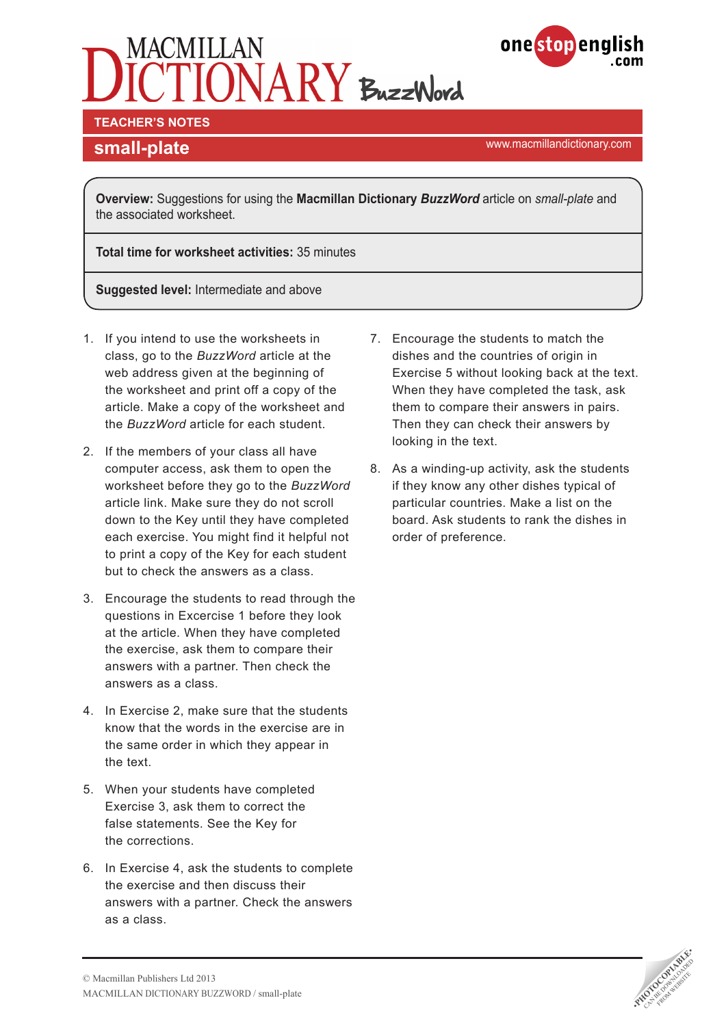# IONARY BuzzWord



**TEACHER'S NOTES** 

**small-plate small-plate small-plate small-plate smaller**  $\mathbb{R}^n$  **and**  $\mathbb{R}^n$  **and**  $\mathbb{R}^n$  **and**  $\mathbb{R}^n$  **and**  $\mathbb{R}^n$  **and**  $\mathbb{R}^n$  **and**  $\mathbb{R}^n$  **and**  $\mathbb{R}^n$  **and**  $\mathbb{R}^n$  **and**  $\mathbb{R}^n$  **and \mathbb{R}** 

**Overview:** Suggestions for using the **Macmillan Dictionary** *BuzzWord* article on *small-plate* and the associated worksheet.

**Total time for worksheet activities:** 35 minutes

**Suggested level:** Intermediate and above

- 1. If you intend to use the worksheets in class, go to the *BuzzWord* article at the web address given at the beginning of the worksheet and print off a copy of the article. Make a copy of the worksheet and the *BuzzWord* article for each student.
- 2. If the members of your class all have computer access, ask them to open the worksheet before they go to the *BuzzWord* article link. Make sure they do not scroll down to the Key until they have completed each exercise. You might find it helpful not to print a copy of the Key for each student but to check the answers as a class.
- 3. Encourage the students to read through the questions in Excercise 1 before they look at the article. When they have completed the exercise, ask them to compare their answers with a partner. Then check the answers as a class.
- 4. In Exercise 2, make sure that the students know that the words in the exercise are in the same order in which they appear in the text.
- 5. When your students have completed Exercise 3, ask them to correct the false statements. See the Key for the corrections.
- 6. In Exercise 4, ask the students to complete the exercise and then discuss their answers with a partner. Check the answers as a class.
- 7. Encourage the students to match the dishes and the countries of origin in Exercise 5 without looking back at the text. When they have completed the task, ask them to compare their answers in pairs. Then they can check their answers by looking in the text.
- 8. As a winding-up activity, ask the students if they know any other dishes typical of particular countries. Make a list on the board. Ask students to rank the dishes in order of preference.

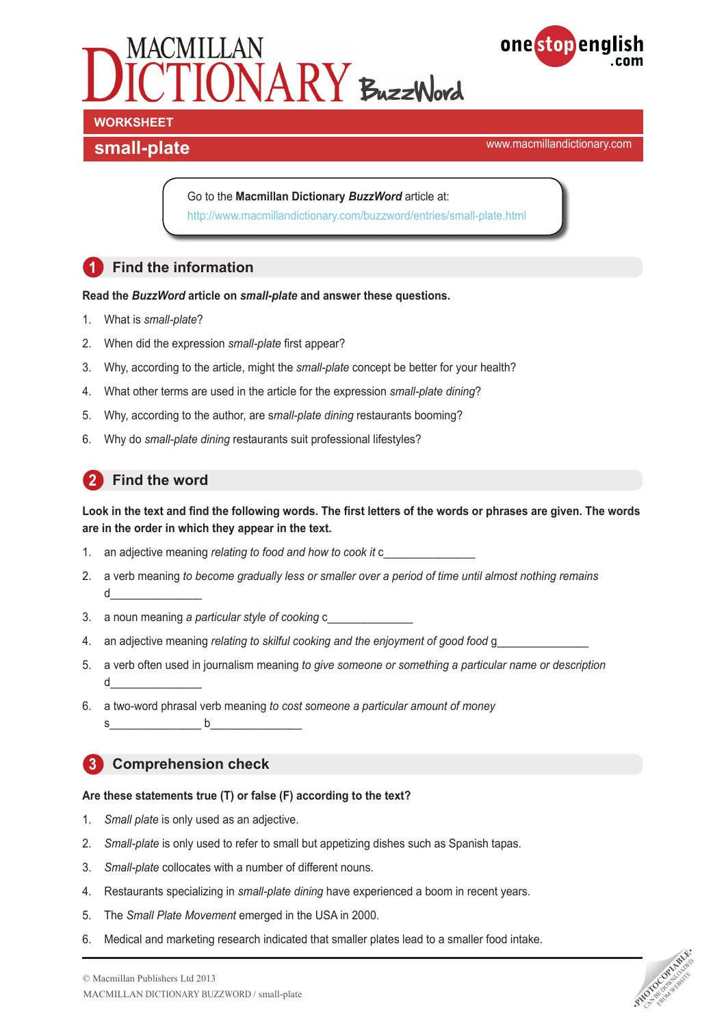



www.macmillandictionary.com **small-plate**

Go to the **Macmillan Dictionary** *BuzzWord* article at: <http://www.macmillandictionary.com/buzzword/entries/small-plate.html>

# **1 Find the information**

#### **Read the** *BuzzWord* **article on** *small-plate* **and answer these questions.**

- 1. What is *small-plate*?
- 2. When did the expression *small-plate* first appear?
- 3. Why, according to the article, might the *small-plate* concept be better for your health?
- 4. What other terms are used in the article for the expression *small-plate dining*?
- 5. Why, according to the author, are s*mall-plate dining* restaurants booming?
- 6. Why do *small-plate dining* restaurants suit professional lifestyles?

## **2** Find the word

#### **Look in the text and find the following words. The first letters of the words or phrases are given. The words are in the order in which they appear in the text.**

- 1. an adjective meaning *relating to food and how to cook it* c\_\_\_\_\_\_\_\_\_\_\_\_\_\_\_
- 2. a verb meaning *to become gradually less or smaller over a period of time until almost nothing remains*  $\mathsf d$
- 3. a noun meaning *a particular style of cooking* c\_\_\_\_\_\_\_\_\_\_\_\_\_\_
- 4. an adjective meaning *relating to skilful cooking and the enjoyment of good food* g\_
- 5. a verb often used in journalism meaning *to give someone or something a particular name or description* d\_\_\_\_\_\_\_\_\_\_\_\_\_\_\_
- 6. a two-word phrasal verb meaning *to cost someone a particular amount of money*
	- $s$  b

## **3 Comprehension check**

#### **Are these statements true (T) or false (F) according to the text?**

- 1. *Small plate* is only used as an adjective.
- 2. *Small-plate* is only used to refer to small but appetizing dishes such as Spanish tapas.
- 3. *Small-plate* collocates with a number of different nouns.
- 4. Restaurants specializing in *small-plate dining* have experienced a boom in recent years.
- 5. The *Small Plate Movement* emerged in the USA in 2000.
- 6. Medical and marketing research indicated that smaller plates lead to a smaller food intake.

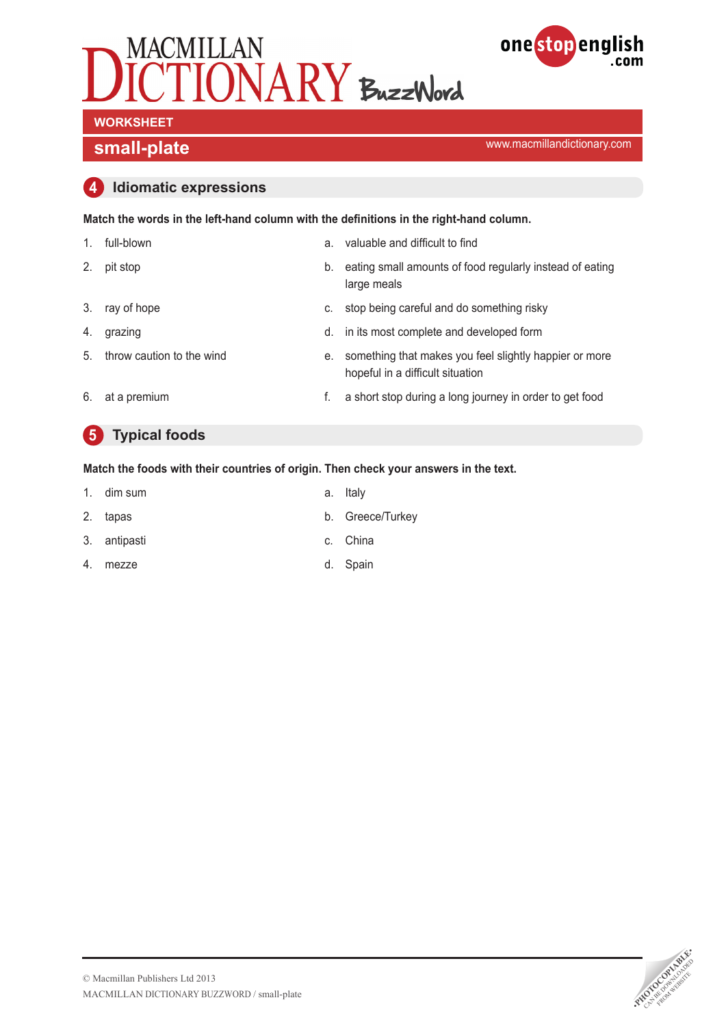



**small-plate small-plate small-plate small-plate smaller**  $\mathbb{R}^n$  **and**  $\mathbb{R}^n$  **and**  $\mathbb{R}^n$  **and**  $\mathbb{R}^n$  **and**  $\mathbb{R}^n$  **and**  $\mathbb{R}^n$  **and**  $\mathbb{R}^n$  **and**  $\mathbb{R}^n$  **and**  $\mathbb{R}^n$  **and**  $\mathbb{R}^n$  **and \mathbb{R}** 

#### **4 Idiomatic expressions**

| Match the words in the left-hand column with the definitions in the right-hand column. |  |
|----------------------------------------------------------------------------------------|--|
|----------------------------------------------------------------------------------------|--|

1. full-blown a. valuable and difficult to find 2. pit stop b. eating small amounts of food regularly instead of eating large meals 3. ray of hope c. stop being careful and do something risky 4. grazing d. in its most complete and developed form 5. throw caution to the wind e. something that makes you feel slightly happier or more hopeful in a difficult situation 6. at a premium f. a short stop during a long journey in order to get food

# **5 Typical foods**

**Match the foods with their countries of origin. Then check your answers in the text.**

- 1. dim sum a. Italy
- 2. tapas b. Greece/Turkey
- 3. antipasti c. China
- 4. mezze d. Spain